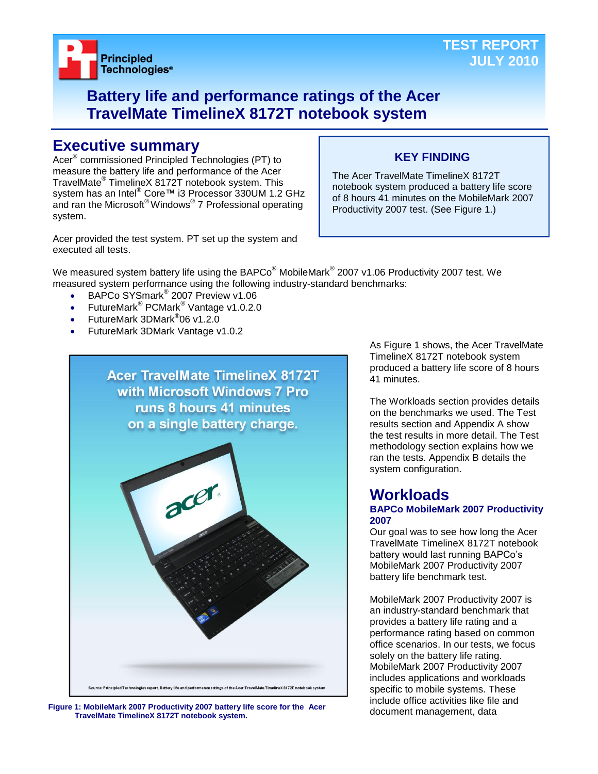

## **Battery life and performance ratings of the Acer TravelMate TimelineX 8172T notebook system**

## **Executive summary**

Acer® commissioned Principled Technologies (PT) to measure the battery life and performance of the Acer TravelMate® TimelineX 8172T notebook system. This system has an Intel® Core™ i3 Processor 330UM 1.2 GHz and ran the Microsoft® Windows® 7 Professional operating system.

## The Acer TravelMate TimelineX 8172T

notebook system produced a battery life score of 8 hours 41 minutes on the MobileMark 2007 Productivity 2007 test. (See Figure 1.)

**KEY FINDING**

Acer provided the test system. PT set up the system and executed all tests.

We measured system battery life using the BAPCo $^\circ$  MobileMark $^\circ$  2007 v1.06 Productivity 2007 test. We measured system performance using the following industry-standard benchmarks:

- BAPCo SYSmark<sup>®</sup> 2007 Preview v1.06
- FutureMark<sup>®</sup> PCMark<sup>®</sup> Vantage v1.0.2.0
- FutureMark 3DMark<sup>®</sup>06 v1.2.0
- FutureMark 3DMark Vantage v1.0.2



document management, data **Figure 1: MobileMark 2007 Productivity 2007 battery life score for the Acer TravelMate TimelineX 8172T notebook system.**

As Figure 1 shows, the Acer TravelMate TimelineX 8172T notebook system produced a battery life score of 8 hours 41 minutes.

The Workloads section provides details on the benchmarks we used. The Test results section and Appendix A show the test results in more detail. The Test methodology section explains how we ran the tests. Appendix B details the system configuration.

## **Workloads**

## **BAPCo MobileMark 2007 Productivity 2007**

Our goal was to see how long the Acer TravelMate TimelineX 8172T notebook battery would last running BAPCo's MobileMark 2007 Productivity 2007 battery life benchmark test.

MobileMark 2007 Productivity 2007 is an industry-standard benchmark that provides a battery life rating and a performance rating based on common office scenarios. In our tests, we focus solely on the battery life rating. MobileMark 2007 Productivity 2007 includes applications and workloads specific to mobile systems. These include office activities like file and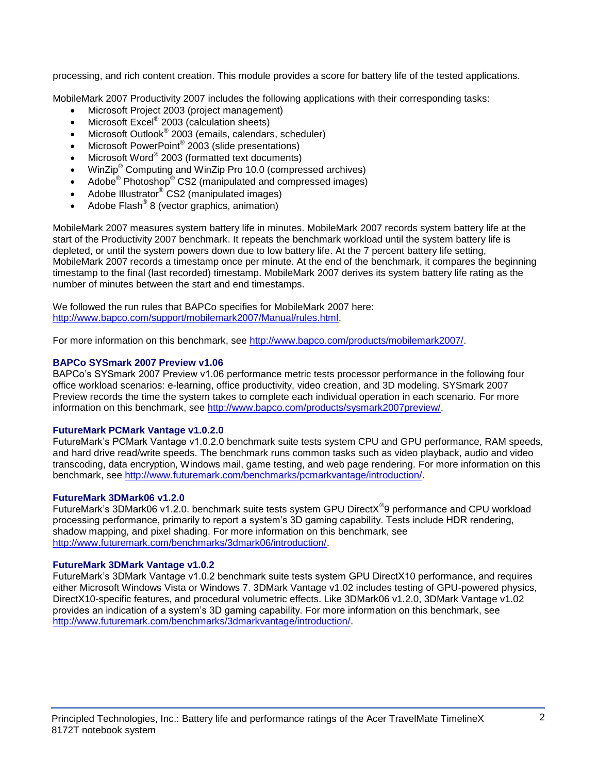processing, and rich content creation. This module provides a score for battery life of the tested applications.

MobileMark 2007 Productivity 2007 includes the following applications with their corresponding tasks:

- Microsoft Project 2003 (project management)
- $\bullet$  Microsoft Excel® 2003 (calculation sheets)
- Microsoft Outlook<sup>®</sup> 2003 (emails, calendars, scheduler)
- Microsoft PowerPoint® 2003 (slide presentations)
- Microsoft Word® 2003 (formatted text documents)
- WinZip® Computing and WinZip Pro 10.0 (compressed archives)
- Adobe<sup>®</sup> Photoshop<sup>®</sup> CS2 (manipulated and compressed images)
- Adobe Illustrator® CS2 (manipulated images)
- $\bullet$  Adobe Flash<sup>®</sup> 8 (vector graphics, animation)

MobileMark 2007 measures system battery life in minutes. MobileMark 2007 records system battery life at the start of the Productivity 2007 benchmark. It repeats the benchmark workload until the system battery life is depleted, or until the system powers down due to low battery life. At the 7 percent battery life setting, MobileMark 2007 records a timestamp once per minute. At the end of the benchmark, it compares the beginning timestamp to the final (last recorded) timestamp. MobileMark 2007 derives its system battery life rating as the number of minutes between the start and end timestamps.

We followed the run rules that BAPCo specifies for MobileMark 2007 here: [http://www.bapco.com/support/mobilemark2007/Manual/rules.html.](http://www.bapco.com/support/mobilemark2007/Manual/rules.html)

For more information on this benchmark, see [http://www.bapco.com/products/mobilemark2007/.](http://www.bapco.com/products/mobilemark2007/)

#### **BAPCo SYSmark 2007 Preview v1.06**

BAPCo's SYSmark 2007 Preview v1.06 performance metric tests processor performance in the following four office workload scenarios: e-learning, office productivity, video creation, and 3D modeling. SYSmark 2007 Preview records the time the system takes to complete each individual operation in each scenario. For more information on this benchmark, see [http://www.bapco.com/products/sysmark2007preview/.](http://www.bapco.com/products/sysmark2007preview/)

#### **FutureMark PCMark Vantage v1.0.2.0**

FutureMark's PCMark Vantage v1.0.2.0 benchmark suite tests system CPU and GPU performance, RAM speeds, and hard drive read/write speeds. The benchmark runs common tasks such as video playback, audio and video transcoding, data encryption, Windows mail, game testing, and web page rendering. For more information on this benchmark, see [http://www.futuremark.com/benchmarks/pcmarkvantage/introduction/.](http://www.futuremark.com/benchmarks/pcmarkvantage/introduction/)

#### **FutureMark 3DMark06 v1.2.0**

FutureMark's 3DMark06 v1.2.0. benchmark suite tests system GPU DirectX<sup>®</sup>9 performance and CPU workload processing performance, primarily to report a system's 3D gaming capability. Tests include HDR rendering, shadow mapping, and pixel shading. For more information on this benchmark, see [http://www.futuremark.com/benchmarks/3dmark06/introduction/.](http://www.futuremark.com/benchmarks/3dmark06/introduction/)

#### **FutureMark 3DMark Vantage v1.0.2**

FutureMark's 3DMark Vantage v1.0.2 benchmark suite tests system GPU DirectX10 performance, and requires either Microsoft Windows Vista or Windows 7. 3DMark Vantage v1.02 includes testing of GPU-powered physics, DirectX10-specific features, and procedural volumetric effects. Like 3DMark06 v1.2.0, 3DMark Vantage v1.02 provides an indication of a system's 3D gaming capability. For more information on this benchmark, see [http://www.futuremark.com/benchmarks/3dmarkvantage/introduction/.](http://www.futuremark.com/benchmarks/3dmarkvantage/introduction/)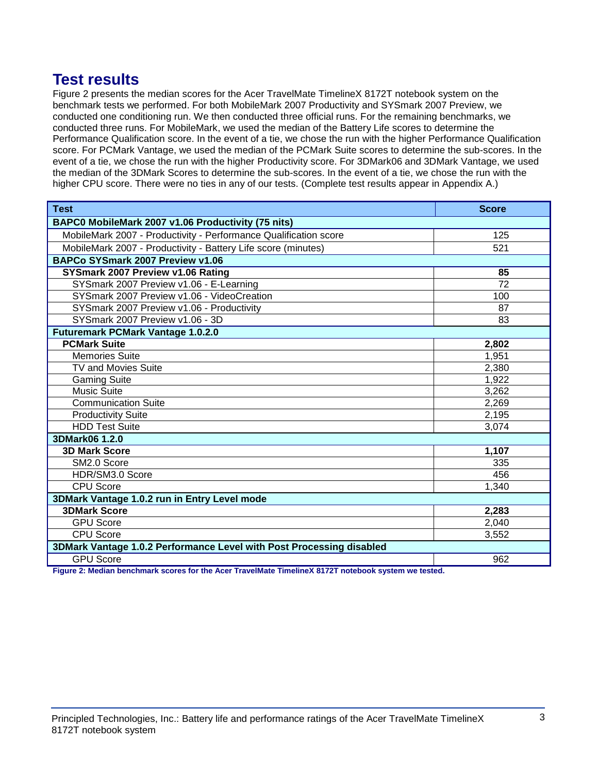## **Test results**

Figure 2 presents the median scores for the Acer TravelMate TimelineX 8172T notebook system on the benchmark tests we performed. For both MobileMark 2007 Productivity and SYSmark 2007 Preview, we conducted one conditioning run. We then conducted three official runs. For the remaining benchmarks, we conducted three runs. For MobileMark, we used the median of the Battery Life scores to determine the Performance Qualification score. In the event of a tie, we chose the run with the higher Performance Qualification score. For PCMark Vantage, we used the median of the PCMark Suite scores to determine the sub-scores. In the event of a tie, we chose the run with the higher Productivity score. For 3DMark06 and 3DMark Vantage, we used the median of the 3DMark Scores to determine the sub-scores. In the event of a tie, we chose the run with the higher CPU score. There were no ties in any of our tests. (Complete test results appear in Appendix A.)

| <b>Test</b>                                                                                                   | <b>Score</b>    |  |
|---------------------------------------------------------------------------------------------------------------|-----------------|--|
| BAPC0 MobileMark 2007 v1.06 Productivity (75 nits)                                                            |                 |  |
| MobileMark 2007 - Productivity - Performance Qualification score                                              | 125             |  |
| MobileMark 2007 - Productivity - Battery Life score (minutes)                                                 | 521             |  |
| BAPCo SYSmark 2007 Preview v1.06                                                                              |                 |  |
| SYSmark 2007 Preview v1.06 Rating                                                                             | 85              |  |
| SYSmark 2007 Preview v1.06 - E-Learning                                                                       | $\overline{72}$ |  |
| SYSmark 2007 Preview v1.06 - VideoCreation                                                                    | 100             |  |
| SYSmark 2007 Preview v1.06 - Productivity                                                                     | 87              |  |
| SYSmark 2007 Preview v1.06 - 3D                                                                               | 83              |  |
| <b>Futuremark PCMark Vantage 1.0.2.0</b>                                                                      |                 |  |
| <b>PCMark Suite</b>                                                                                           | 2,802           |  |
| <b>Memories Suite</b>                                                                                         | 1,951           |  |
| <b>TV and Movies Suite</b>                                                                                    | 2,380           |  |
| <b>Gaming Suite</b>                                                                                           | 1,922           |  |
| <b>Music Suite</b>                                                                                            | 3,262           |  |
| <b>Communication Suite</b>                                                                                    | 2,269           |  |
| <b>Productivity Suite</b>                                                                                     | 2,195           |  |
| <b>HDD Test Suite</b>                                                                                         | 3,074           |  |
| 3DMark06 1.2.0                                                                                                |                 |  |
| <b>3D Mark Score</b>                                                                                          | 1,107           |  |
| SM2.0 Score                                                                                                   | 335             |  |
| HDR/SM3.0 Score                                                                                               | 456             |  |
| <b>CPU Score</b>                                                                                              | 1,340           |  |
| 3DMark Vantage 1.0.2 run in Entry Level mode                                                                  |                 |  |
| <b>3DMark Score</b>                                                                                           | 2,283           |  |
| <b>GPU Score</b>                                                                                              | 2,040           |  |
| <b>CPU Score</b>                                                                                              | 3,552           |  |
| 3DMark Vantage 1.0.2 Performance Level with Post Processing disabled                                          |                 |  |
| <b>GPU Score</b><br>Figure 9: Medien benefimerik sesuas fan the Aser TravelMate Timeline V 0470T natcheoliser | 962             |  |

**Figure 2: Median benchmark scores for the Acer TravelMate TimelineX 8172T notebook system we tested.**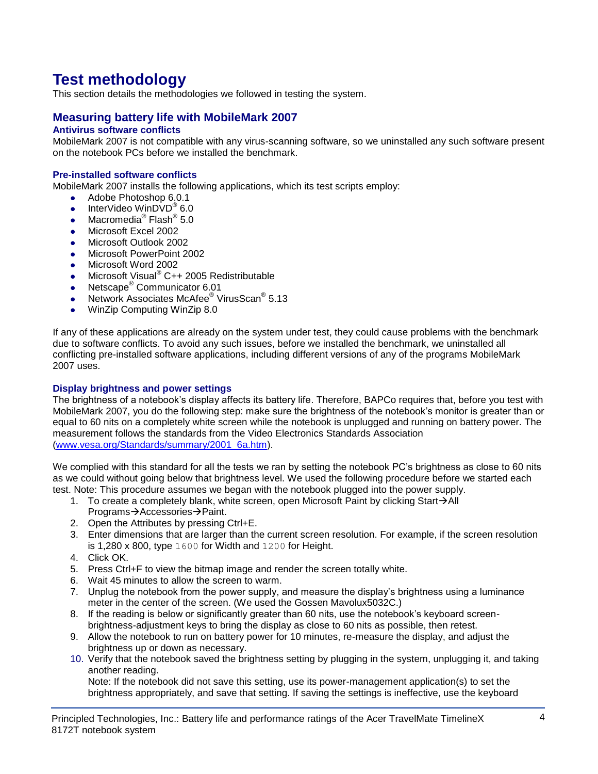# **Test methodology**

This section details the methodologies we followed in testing the system.

## **Measuring battery life with MobileMark 2007**

## **Antivirus software conflicts**

MobileMark 2007 is not compatible with any virus-scanning software, so we uninstalled any such software present on the notebook PCs before we installed the benchmark.

## **Pre-installed software conflicts**

MobileMark 2007 installs the following applications, which its test scripts employ:

- Adobe Photoshop 6.0.1
- InterVideo WinDVD $^{\circ}$  6.0
- Macromedia® Flash® 5.0
- Microsoft Excel 2002
- Microsoft Outlook 2002
- **Microsoft PowerPoint 2002**
- Microsoft Word 2002
- Microsoft Visual<sup>®</sup> C++ 2005 Redistributable
- Netscape<sup>®</sup> Communicator 6.01
- Network Associates McAfee<sup>®</sup> VirusScan<sup>®</sup> 5.13
- WinZip Computing WinZip 8.0

If any of these applications are already on the system under test, they could cause problems with the benchmark due to software conflicts. To avoid any such issues, before we installed the benchmark, we uninstalled all conflicting pre-installed software applications, including different versions of any of the programs MobileMark 2007 uses.

#### **Display brightness and power settings**

The brightness of a notebook's display affects its battery life. Therefore, BAPCo requires that, before you test with MobileMark 2007, you do the following step: make sure the brightness of the notebook's monitor is greater than or equal to 60 nits on a completely white screen while the notebook is unplugged and running on battery power. The measurement follows the standards from the Video Electronics Standards Association [\(www.vesa.org/Standards/summary/2001\\_6a.htm\)](http://www.vesa.org/Standards/summary/2001_6a.htm).

We complied with this standard for all the tests we ran by setting the notebook PC's brightness as close to 60 nits as we could without going below that brightness level. We used the following procedure before we started each test. Note: This procedure assumes we began with the notebook plugged into the power supply.

- 1. To create a completely blank, white screen, open Microsoft Paint by clicking Start $\rightarrow$ All Programs→Accessories→Paint.
- 2. Open the Attributes by pressing Ctrl+E.
- 3. Enter dimensions that are larger than the current screen resolution. For example, if the screen resolution is 1,280 x 800, type 1600 for Width and 1200 for Height.
- 4. Click OK.
- 5. Press Ctrl+F to view the bitmap image and render the screen totally white.
- 6. Wait 45 minutes to allow the screen to warm.
- 7. Unplug the notebook from the power supply, and measure the display's brightness using a luminance meter in the center of the screen. (We used the Gossen Mavolux5032C.)
- 8. If the reading is below or significantly greater than 60 nits, use the notebook's keyboard screenbrightness-adjustment keys to bring the display as close to 60 nits as possible, then retest.
- 9. Allow the notebook to run on battery power for 10 minutes, re-measure the display, and adjust the brightness up or down as necessary.
- 10. Verify that the notebook saved the brightness setting by plugging in the system, unplugging it, and taking another reading.

Note: If the notebook did not save this setting, use its power-management application(s) to set the brightness appropriately, and save that setting. If saving the settings is ineffective, use the keyboard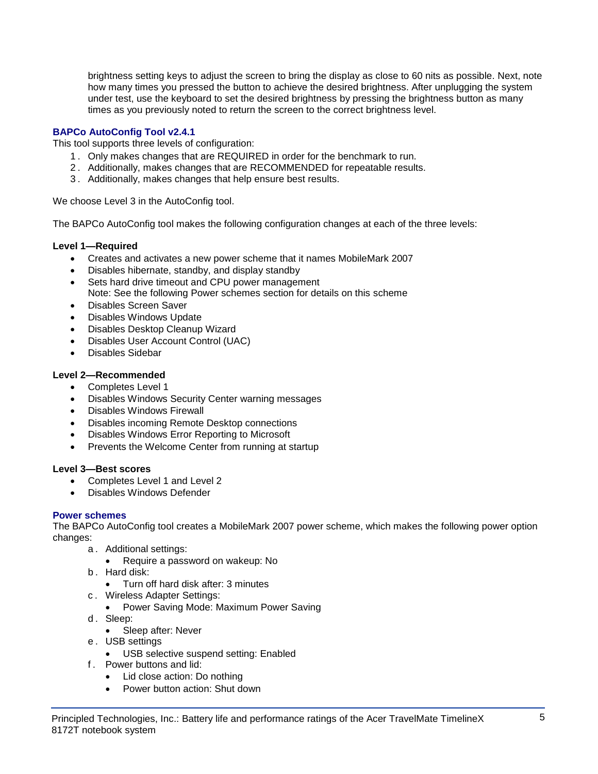brightness setting keys to adjust the screen to bring the display as close to 60 nits as possible. Next, note how many times you pressed the button to achieve the desired brightness. After unplugging the system under test, use the keyboard to set the desired brightness by pressing the brightness button as many times as you previously noted to return the screen to the correct brightness level.

## **BAPCo AutoConfig Tool v2.4.1**

This tool supports three levels of configuration:

- 1 . Only makes changes that are REQUIRED in order for the benchmark to run.
- 2 . Additionally, makes changes that are RECOMMENDED for repeatable results.
- 3 . Additionally, makes changes that help ensure best results.

We choose Level 3 in the AutoConfig tool.

The BAPCo AutoConfig tool makes the following configuration changes at each of the three levels:

## **Level 1—Required**

- Creates and activates a new power scheme that it names MobileMark 2007
- Disables hibernate, standby, and display standby
- Sets hard drive timeout and CPU power management Note: See the following Power schemes section for details on this scheme
- Disables Screen Saver
- Disables Windows Update
- Disables Desktop Cleanup Wizard
- Disables User Account Control (UAC)
- Disables Sidebar

## **Level 2—Recommended**

- Completes Level 1
- Disables Windows Security Center warning messages
- Disables Windows Firewall
- Disables incoming Remote Desktop connections
- Disables Windows Error Reporting to Microsoft
- Prevents the Welcome Center from running at startup

## **Level 3—Best scores**

- Completes Level 1 and Level 2
- Disables Windows Defender

## **Power schemes**

The BAPCo AutoConfig tool creates a MobileMark 2007 power scheme, which makes the following power option changes:

- a . Additional settings:
	- Require a password on wakeup: No
- b . Hard disk:
	- Turn off hard disk after: 3 minutes
- c . Wireless Adapter Settings:
	- Power Saving Mode: Maximum Power Saving
- d. Sleep:
	- Sleep after: Never
- e . USB settings
	- USB selective suspend setting: Enabled
- f . Power buttons and lid:
	- Lid close action: Do nothing
	- Power button action: Shut down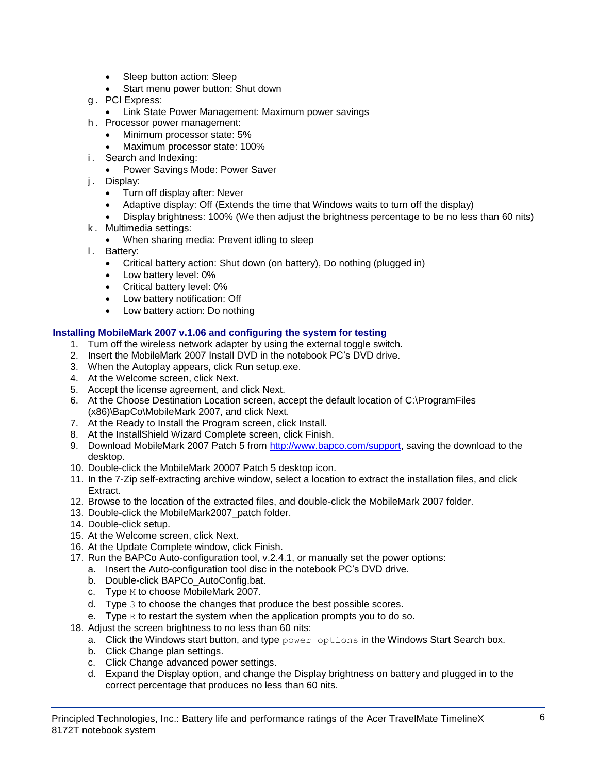- Sleep button action: Sleep
- Start menu power button: Shut down
- g . PCI Express:
	- **Link State Power Management: Maximum power savings**
- h . Processor power management:
	- Minimum processor state: 5%
	- Maximum processor state: 100%
- i. Search and Indexing:
	- Power Savings Mode: Power Saver
- j. Display:
	- Turn off display after: Never
	- Adaptive display: Off (Extends the time that Windows waits to turn off the display)
	- Display brightness: 100% (We then adjust the brightness percentage to be no less than 60 nits)
- k . Multimedia settings:
	- When sharing media: Prevent idling to sleep
- l. Battery:
	- Critical battery action: Shut down (on battery), Do nothing (plugged in)
	- Low battery level: 0%
	- Critical battery level: 0%
	- Low battery notification: Off
	- Low battery action: Do nothing

## **Installing MobileMark 2007 v.1.06 and configuring the system for testing**

- 1. Turn off the wireless network adapter by using the external toggle switch.
- 2. Insert the MobileMark 2007 Install DVD in the notebook PC's DVD drive.
- 3. When the Autoplay appears, click Run setup.exe.
- 4. At the Welcome screen, click Next.
- 5. Accept the license agreement, and click Next.
- 6. At the Choose Destination Location screen, accept the default location of C:\ProgramFiles (x86)\BapCo\MobileMark 2007, and click Next.
- 7. At the Ready to Install the Program screen, click Install.
- 8. At the InstallShield Wizard Complete screen, click Finish.
- 9. Download MobileMark 2007 Patch 5 from [http://www.bapco.com/support,](http://www.bapco.com/support) saving the download to the desktop.
- 10. Double-click the MobileMark 20007 Patch 5 desktop icon.
- 11. In the 7-Zip self-extracting archive window, select a location to extract the installation files, and click Extract.
- 12. Browse to the location of the extracted files, and double-click the MobileMark 2007 folder.
- 13. Double-click the MobileMark2007\_patch folder.
- 14. Double-click setup.
- 15. At the Welcome screen, click Next.
- 16. At the Update Complete window, click Finish.
- 17. Run the BAPCo Auto-configuration tool, v.2.4.1, or manually set the power options:
	- a. Insert the Auto-configuration tool disc in the notebook PC's DVD drive.
	- b. Double-click BAPCo\_AutoConfig.bat.
	- c. Type M to choose MobileMark 2007.
	- d. Type 3 to choose the changes that produce the best possible scores.
	- e. Type  $R$  to restart the system when the application prompts you to do so.
- 18. Adjust the screen brightness to no less than 60 nits:
	- a. Click the Windows start button, and type  $power$  options in the Windows Start Search box.
	- b. Click Change plan settings.
	- c. Click Change advanced power settings.
	- d. Expand the Display option, and change the Display brightness on battery and plugged in to the correct percentage that produces no less than 60 nits.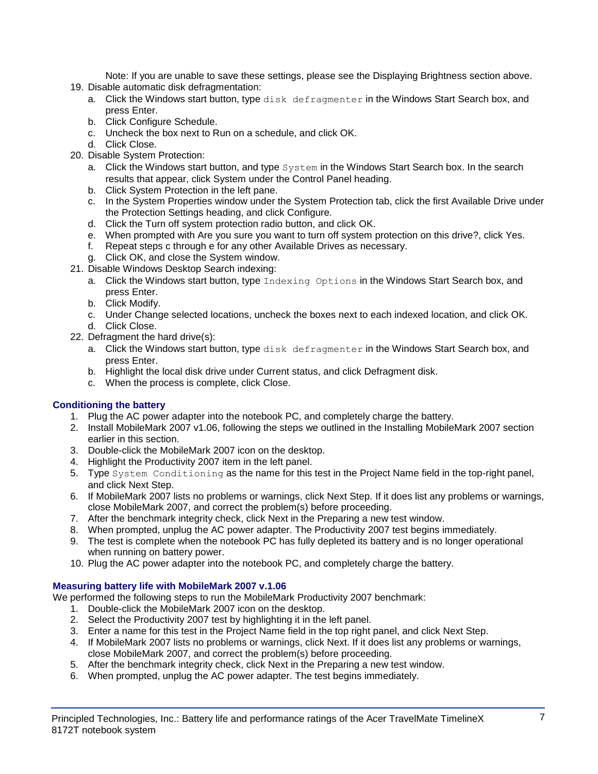Note: If you are unable to save these settings, please see the Displaying Brightness section above.

- 19. Disable automatic disk defragmentation:
	- a. Click the Windows start button, type disk defragmenter in the Windows Start Search box, and press Enter.
	- b. Click Configure Schedule.
	- c. Uncheck the box next to Run on a schedule, and click OK.
	- d. Click Close.
- 20. Disable System Protection:
	- a. Click the Windows start button, and type System in the Windows Start Search box. In the search results that appear, click System under the Control Panel heading.
	- b. Click System Protection in the left pane.
	- c. In the System Properties window under the System Protection tab, click the first Available Drive under the Protection Settings heading, and click Configure.
	- d. Click the Turn off system protection radio button, and click OK.
	- e. When prompted with Are you sure you want to turn off system protection on this drive?, click Yes.
	- f. Repeat steps c through e for any other Available Drives as necessary.
	- g. Click OK, and close the System window.
- 21. Disable Windows Desktop Search indexing:
	- a. Click the Windows start button, type Indexing Options in the Windows Start Search box, and press Enter.
	- b. Click Modify.
	- c. Under Change selected locations, uncheck the boxes next to each indexed location, and click OK. d. Click Close.
- 22. Defragment the hard drive(s):
	- a. Click the Windows start button, type disk defragmenter in the Windows Start Search box, and press Enter.
	- b. Highlight the local disk drive under Current status, and click Defragment disk.
	- c. When the process is complete, click Close.

## **Conditioning the battery**

- 1. Plug the AC power adapter into the notebook PC, and completely charge the battery.
- 2. Install MobileMark 2007 v1.06, following the steps we outlined in the Installing MobileMark 2007 section earlier in this section.
- 3. Double-click the MobileMark 2007 icon on the desktop.
- 4. Highlight the Productivity 2007 item in the left panel.
- 5. Type System Conditioning as the name for this test in the Project Name field in the top-right panel, and click Next Step.
- 6. If MobileMark 2007 lists no problems or warnings, click Next Step. If it does list any problems or warnings, close MobileMark 2007, and correct the problem(s) before proceeding.
- 7. After the benchmark integrity check, click Next in the Preparing a new test window.
- 8. When prompted, unplug the AC power adapter. The Productivity 2007 test begins immediately.
- 9. The test is complete when the notebook PC has fully depleted its battery and is no longer operational when running on battery power.
- 10. Plug the AC power adapter into the notebook PC, and completely charge the battery.

## **Measuring battery life with MobileMark 2007 v.1.06**

We performed the following steps to run the MobileMark Productivity 2007 benchmark:

- 1. Double-click the MobileMark 2007 icon on the desktop.
- 2. Select the Productivity 2007 test by highlighting it in the left panel.
- 3. Enter a name for this test in the Project Name field in the top right panel, and click Next Step.
- 4. If MobileMark 2007 lists no problems or warnings, click Next. If it does list any problems or warnings, close MobileMark 2007, and correct the problem(s) before proceeding.
- 5. After the benchmark integrity check, click Next in the Preparing a new test window.
- 6. When prompted, unplug the AC power adapter. The test begins immediately.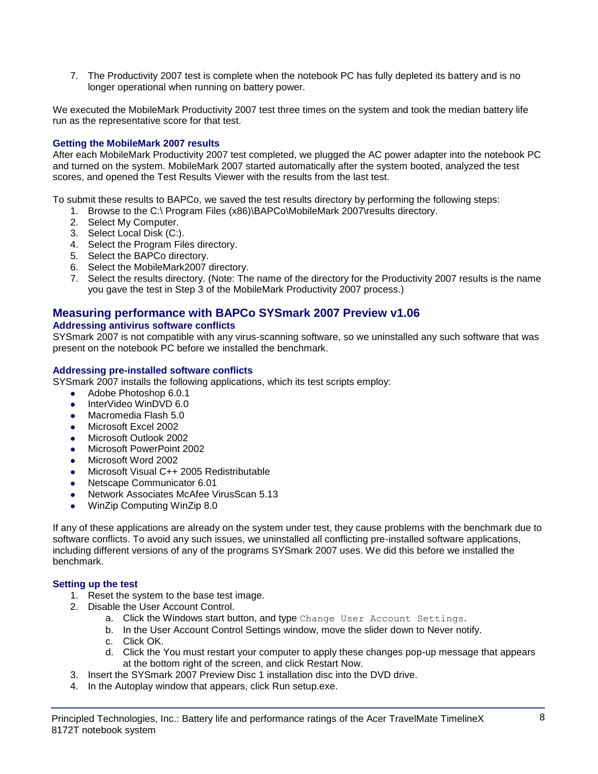7. The Productivity 2007 test is complete when the notebook PC has fully depleted its battery and is no longer operational when running on battery power.

We executed the MobileMark Productivity 2007 test three times on the system and took the median battery life run as the representative score for that test.

## **Getting the MobileMark 2007 results**

After each MobileMark Productivity 2007 test completed, we plugged the AC power adapter into the notebook PC and turned on the system. MobileMark 2007 started automatically after the system booted, analyzed the test scores, and opened the Test Results Viewer with the results from the last test.

To submit these results to BAPCo, we saved the test results directory by performing the following steps:

- 1. Browse to the C:\ Program Files (x86)\BAPCo\MobileMark 2007\results directory.
- 2. Select My Computer.
- 3. Select Local Disk (C:).
- 4. Select the Program Files directory.
- 5. Select the BAPCo directory.
- 6. Select the MobileMark2007 directory.
- 7. Select the results directory. (Note: The name of the directory for the Productivity 2007 results is the name you gave the test in Step 3 of the MobileMark Productivity 2007 process.)

## **Measuring performance with BAPCo SYSmark 2007 Preview v1.06**

#### **Addressing antivirus software conflicts**

SYSmark 2007 is not compatible with any virus-scanning software, so we uninstalled any such software that was present on the notebook PC before we installed the benchmark.

#### **Addressing pre-installed software conflicts**

SYSmark 2007 installs the following applications, which its test scripts employ:

- Adobe Photoshop 6.0.1
- InterVideo WinDVD 6.0
- Macromedia Flash 5.0
- Microsoft Excel 2002
- Microsoft Outlook 2002
- Microsoft PowerPoint 2002
- Microsoft Word 2002
- Microsoft Visual C++ 2005 Redistributable
- Netscape Communicator 6.01
- Network Associates McAfee VirusScan 5.13
- WinZip Computing WinZip 8.0

If any of these applications are already on the system under test, they cause problems with the benchmark due to software conflicts. To avoid any such issues, we uninstalled all conflicting pre-installed software applications, including different versions of any of the programs SYSmark 2007 uses. We did this before we installed the benchmark.

#### **Setting up the test**

- 1. Reset the system to the base test image.
- 2. Disable the User Account Control.
	- a. Click the Windows start button, and type Change User Account Settings.
	- b. In the User Account Control Settings window, move the slider down to Never notify.
	- c. Click OK.
	- d. Click the You must restart your computer to apply these changes pop-up message that appears at the bottom right of the screen, and click Restart Now.
- 3. Insert the SYSmark 2007 Preview Disc 1 installation disc into the DVD drive.
- 4. In the Autoplay window that appears, click Run setup.exe.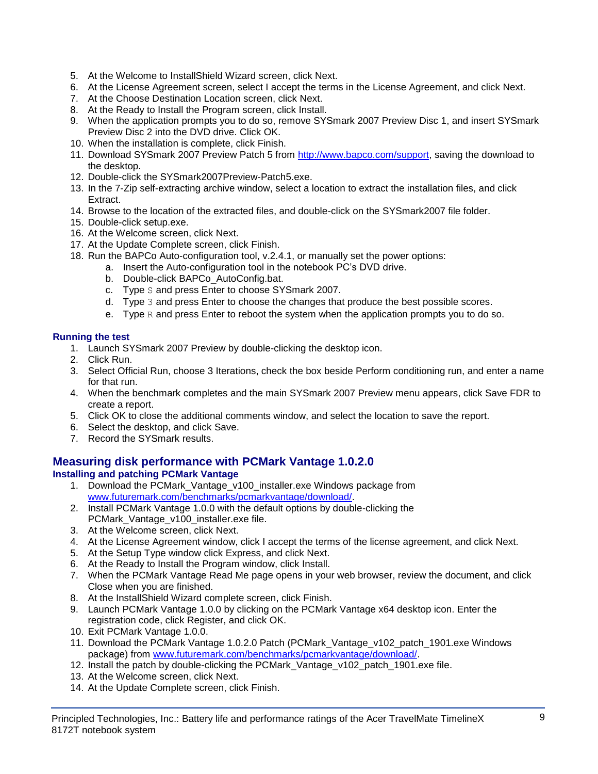- 5. At the Welcome to InstallShield Wizard screen, click Next.
- 6. At the License Agreement screen, select I accept the terms in the License Agreement, and click Next.
- 7. At the Choose Destination Location screen, click Next.
- 8. At the Ready to Install the Program screen, click Install.
- 9. When the application prompts you to do so, remove SYSmark 2007 Preview Disc 1, and insert SYSmark Preview Disc 2 into the DVD drive. Click OK.
- 10. When the installation is complete, click Finish.
- 11. Download SYSmark 2007 Preview Patch 5 from [http://www.bapco.com/support,](http://www.bapco.com/support) saving the download to the desktop.
- 12. Double-click the SYSmark2007Preview-Patch5.exe.
- 13. In the 7-Zip self-extracting archive window, select a location to extract the installation files, and click Extract.
- 14. Browse to the location of the extracted files, and double-click on the SYSmark2007 file folder.
- 15. Double-click setup.exe.
- 16. At the Welcome screen, click Next.
- 17. At the Update Complete screen, click Finish.
- 18. Run the BAPCo Auto-configuration tool, v.2.4.1, or manually set the power options:
	- a. Insert the Auto-configuration tool in the notebook PC's DVD drive.
		- b. Double-click BAPCo\_AutoConfig.bat.
		- c. Type S and press Enter to choose SYSmark 2007.
		- d. Type 3 and press Enter to choose the changes that produce the best possible scores.
		- e. Type  $R$  and press Enter to reboot the system when the application prompts you to do so.

## **Running the test**

- 1. Launch SYSmark 2007 Preview by double-clicking the desktop icon.
- 2. Click Run.
- 3. Select Official Run, choose 3 Iterations, check the box beside Perform conditioning run, and enter a name for that run.
- 4. When the benchmark completes and the main SYSmark 2007 Preview menu appears, click Save FDR to create a report.
- 5. Click OK to close the additional comments window, and select the location to save the report.
- 6. Select the desktop, and click Save.
- 7. Record the SYSmark results.

## **Measuring disk performance with PCMark Vantage 1.0.2.0**

## **Installing and patching PCMark Vantage**

- 1. Download the PCMark Vantage v100 installer.exe Windows package from [www.futuremark.com/benchmarks/pcmarkvantage/download/.](http://www.futuremark.com/benchmarks/pcmarkvantage/download/)
- 2. Install PCMark Vantage 1.0.0 with the default options by double-clicking the PCMark\_Vantage\_v100\_installer.exe file.
- 3. At the Welcome screen, click Next.
- 4. At the License Agreement window, click I accept the terms of the license agreement, and click Next.
- 5. At the Setup Type window click Express, and click Next.
- 6. At the Ready to Install the Program window, click Install.
- 7. When the PCMark Vantage Read Me page opens in your web browser, review the document, and click Close when you are finished.
- 8. At the InstallShield Wizard complete screen, click Finish.
- 9. Launch PCMark Vantage 1.0.0 by clicking on the PCMark Vantage x64 desktop icon. Enter the registration code, click Register, and click OK.
- 10. Exit PCMark Vantage 1.0.0.
- 11. Download the PCMark Vantage 1.0.2.0 Patch (PCMark\_Vantage\_v102\_patch\_1901.exe Windows package) from [www.futuremark.com/benchmarks/pcmarkvantage/download/.](http://www.futuremark.com/benchmarks/pcmarkvantage/download/)
- 12. Install the patch by double-clicking the PCMark\_Vantage\_v102\_patch\_1901.exe file.
- 13. At the Welcome screen, click Next.
- 14. At the Update Complete screen, click Finish.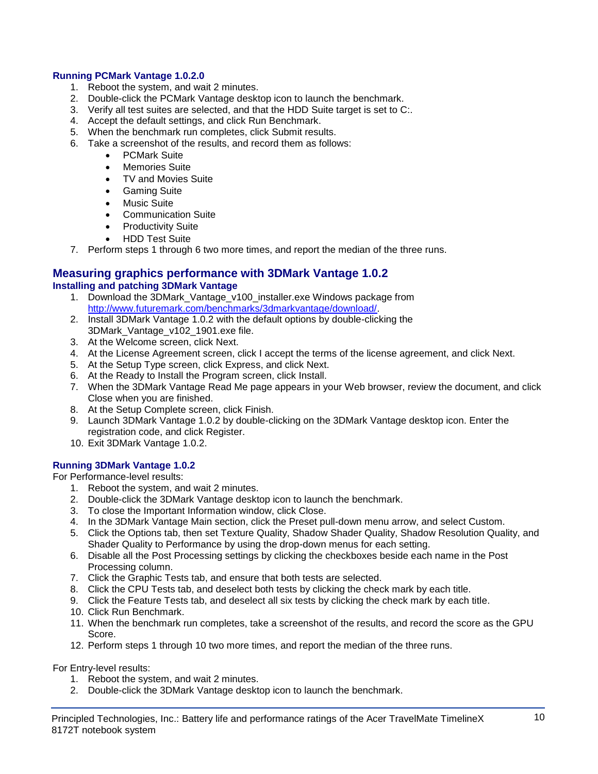## **Running PCMark Vantage 1.0.2.0**

- 1. Reboot the system, and wait 2 minutes.
- 2. Double-click the PCMark Vantage desktop icon to launch the benchmark.
- 3. Verify all test suites are selected, and that the HDD Suite target is set to C:.
- 4. Accept the default settings, and click Run Benchmark.
- 5. When the benchmark run completes, click Submit results.
- 6. Take a screenshot of the results, and record them as follows:
	- PCMark Suite
	- Memories Suite
	- TV and Movies Suite
	- **•** Gaming Suite
	- Music Suite
	- Communication Suite
	- Productivity Suite
	- HDD Test Suite
- 7. Perform steps 1 through 6 two more times, and report the median of the three runs.

#### **Measuring graphics performance with 3DMark Vantage 1.0.2 Installing and patching 3DMark Vantage**

- 1. Download the 3DMark Vantage v100 installer.exe Windows package from [http://www.futuremark.com/benchmarks/3dmarkvantage/download/.](http://www.futuremark.com/benchmarks/3dmarkvantage/download/)
- 2. Install 3DMark Vantage 1.0.2 with the default options by double-clicking the 3DMark\_Vantage\_v102\_1901.exe file.
- 3. At the Welcome screen, click Next.
- 4. At the License Agreement screen, click I accept the terms of the license agreement, and click Next.
- 5. At the Setup Type screen, click Express, and click Next.
- 6. At the Ready to Install the Program screen, click Install.
- 7. When the 3DMark Vantage Read Me page appears in your Web browser, review the document, and click Close when you are finished.
- 8. At the Setup Complete screen, click Finish.
- 9. Launch 3DMark Vantage 1.0.2 by double-clicking on the 3DMark Vantage desktop icon. Enter the registration code, and click Register.
- 10. Exit 3DMark Vantage 1.0.2.

## **Running 3DMark Vantage 1.0.2**

For Performance-level results:

- 1. Reboot the system, and wait 2 minutes.
- 2. Double-click the 3DMark Vantage desktop icon to launch the benchmark.
- 3. To close the Important Information window, click Close.
- 4. In the 3DMark Vantage Main section, click the Preset pull-down menu arrow, and select Custom.
- 5. Click the Options tab, then set Texture Quality, Shadow Shader Quality, Shadow Resolution Quality, and Shader Quality to Performance by using the drop-down menus for each setting.
- 6. Disable all the Post Processing settings by clicking the checkboxes beside each name in the Post Processing column.
- 7. Click the Graphic Tests tab, and ensure that both tests are selected.
- 8. Click the CPU Tests tab, and deselect both tests by clicking the check mark by each title.
- 9. Click the Feature Tests tab, and deselect all six tests by clicking the check mark by each title.
- 10. Click Run Benchmark.
- 11. When the benchmark run completes, take a screenshot of the results, and record the score as the GPU Score.
- 12. Perform steps 1 through 10 two more times, and report the median of the three runs.

For Entry-level results:

- 1. Reboot the system, and wait 2 minutes.
- 2. Double-click the 3DMark Vantage desktop icon to launch the benchmark.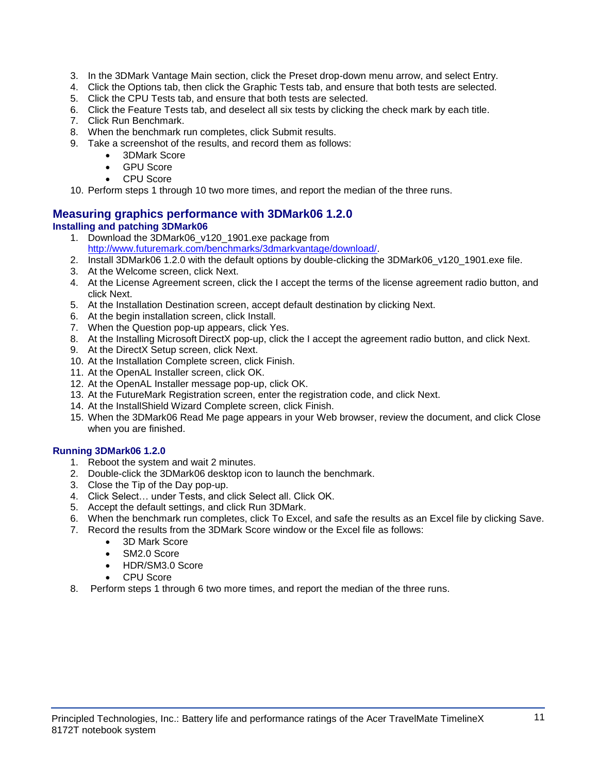- 3. In the 3DMark Vantage Main section, click the Preset drop-down menu arrow, and select Entry.
- 4. Click the Options tab, then click the Graphic Tests tab, and ensure that both tests are selected.
- 5. Click the CPU Tests tab, and ensure that both tests are selected.
- 6. Click the Feature Tests tab, and deselect all six tests by clicking the check mark by each title.
- 7. Click Run Benchmark.
- 8. When the benchmark run completes, click Submit results.
- 9. Take a screenshot of the results, and record them as follows:
	- 3DMark Score
	- GPU Score
	- CPU Score
- 10. Perform steps 1 through 10 two more times, and report the median of the three runs.

## **Measuring graphics performance with 3DMark06 1.2.0 Installing and patching 3DMark06**

- 1. Download the 3DMark06 v120 1901.exe package from [http://www.futuremark.com/benchmarks/3dmarkvantage/download/.](http://www.futuremark.com/benchmarks/3dmarkvantage/download/)
- 2. Install 3DMark06 1.2.0 with the default options by double-clicking the 3DMark06\_v120\_1901.exe file.
- 3. At the Welcome screen, click Next.
- 4. At the License Agreement screen, click the I accept the terms of the license agreement radio button, and click Next.
- 5. At the Installation Destination screen, accept default destination by clicking Next.
- 6. At the begin installation screen, click Install.
- 7. When the Question pop-up appears, click Yes.
- 8. At the Installing Microsoft DirectX pop-up, click the I accept the agreement radio button, and click Next.
- 9. At the DirectX Setup screen, click Next.
- 10. At the Installation Complete screen, click Finish.
- 11. At the OpenAL Installer screen, click OK.
- 12. At the OpenAL Installer message pop-up, click OK.
- 13. At the FutureMark Registration screen, enter the registration code, and click Next.
- 14. At the InstallShield Wizard Complete screen, click Finish.
- 15. When the 3DMark06 Read Me page appears in your Web browser, review the document, and click Close when you are finished.

## **Running 3DMark06 1.2.0**

- 1. Reboot the system and wait 2 minutes.
- 2. Double-click the 3DMark06 desktop icon to launch the benchmark.
- 3. Close the Tip of the Day pop-up.
- 4. Click Select… under Tests, and click Select all. Click OK.
- 5. Accept the default settings, and click Run 3DMark.
- 6. When the benchmark run completes, click To Excel, and safe the results as an Excel file by clicking Save.
- 7. Record the results from the 3DMark Score window or the Excel file as follows:
	- 3D Mark Score
	- SM2.0 Score
	- HDR/SM3.0 Score
	- CPU Score
- 8. Perform steps 1 through 6 two more times, and report the median of the three runs.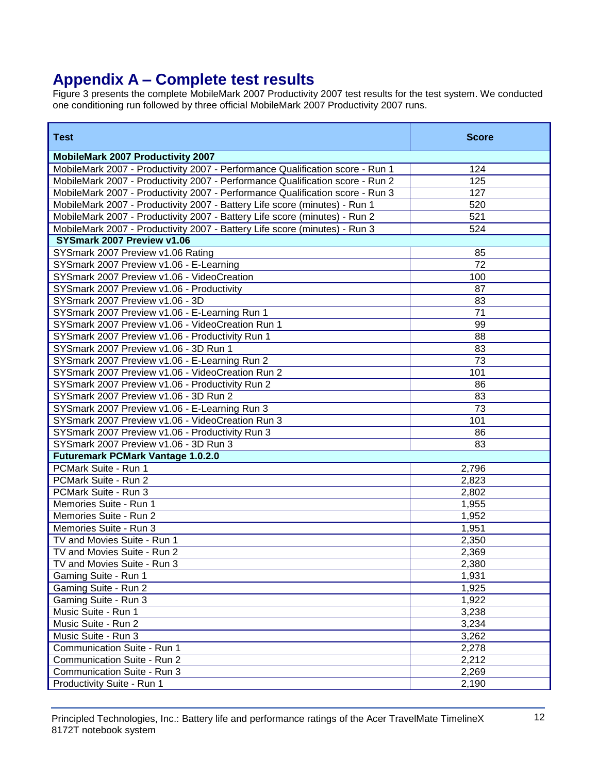# **Appendix A – Complete test results**

Figure 3 presents the complete MobileMark 2007 Productivity 2007 test results for the test system. We conducted one conditioning run followed by three official MobileMark 2007 Productivity 2007 runs.

| <b>Test</b>                                                                   | <b>Score</b> |
|-------------------------------------------------------------------------------|--------------|
| <b>MobileMark 2007 Productivity 2007</b>                                      |              |
| MobileMark 2007 - Productivity 2007 - Performance Qualification score - Run 1 | 124          |
| MobileMark 2007 - Productivity 2007 - Performance Qualification score - Run 2 | 125          |
| MobileMark 2007 - Productivity 2007 - Performance Qualification score - Run 3 | 127          |
| MobileMark 2007 - Productivity 2007 - Battery Life score (minutes) - Run 1    | 520          |
| MobileMark 2007 - Productivity 2007 - Battery Life score (minutes) - Run 2    | 521          |
| MobileMark 2007 - Productivity 2007 - Battery Life score (minutes) - Run 3    | 524          |
| SYSmark 2007 Preview v1.06                                                    |              |
| SYSmark 2007 Preview v1.06 Rating                                             | 85           |
| SYSmark 2007 Preview v1.06 - E-Learning                                       | 72           |
| SYSmark 2007 Preview v1.06 - VideoCreation                                    | 100          |
| SYSmark 2007 Preview v1.06 - Productivity                                     | 87           |
| SYSmark 2007 Preview v1.06 - 3D                                               | 83           |
| SYSmark 2007 Preview v1.06 - E-Learning Run 1                                 | 71           |
| SYSmark 2007 Preview v1.06 - VideoCreation Run 1                              | 99           |
| SYSmark 2007 Preview v1.06 - Productivity Run 1                               | 88           |
| SYSmark 2007 Preview v1.06 - 3D Run 1                                         | 83           |
| SYSmark 2007 Preview v1.06 - E-Learning Run 2                                 | 73           |
| SYSmark 2007 Preview v1.06 - VideoCreation Run 2                              | 101          |
| SYSmark 2007 Preview v1.06 - Productivity Run 2                               | 86           |
| SYSmark 2007 Preview v1.06 - 3D Run 2                                         | 83           |
| SYSmark 2007 Preview v1.06 - E-Learning Run 3                                 | 73           |
| SYSmark 2007 Preview v1.06 - VideoCreation Run 3                              | 101          |
| SYSmark 2007 Preview v1.06 - Productivity Run 3                               | 86           |
| SYSmark 2007 Preview v1.06 - 3D Run 3                                         | 83           |
| <b>Futuremark PCMark Vantage 1.0.2.0</b>                                      |              |
| PCMark Suite - Run 1                                                          | 2,796        |
| PCMark Suite - Run 2                                                          | 2,823        |
| PCMark Suite - Run 3                                                          | 2,802        |
| Memories Suite - Run 1                                                        | 1,955        |
| Memories Suite - Run 2                                                        | 1,952        |
| Memories Suite - Run 3                                                        | 1,951        |
| TV and Movies Suite - Run 1                                                   | 2,350        |
| TV and Movies Suite - Run 2                                                   | 2,369        |
| TV and Movies Suite - Run 3                                                   | 2,380        |
| Gaming Suite - Run 1                                                          | 1,931        |
| Gaming Suite - Run 2                                                          | 1,925        |
| Gaming Suite - Run 3                                                          | 1,922        |
| Music Suite - Run 1                                                           | 3,238        |
| Music Suite - Run 2                                                           | 3,234        |
| Music Suite - Run 3                                                           | 3,262        |
| Communication Suite - Run 1                                                   | 2,278        |
| Communication Suite - Run 2                                                   | 2,212        |
| Communication Suite - Run 3                                                   | 2,269        |
| Productivity Suite - Run 1                                                    | 2,190        |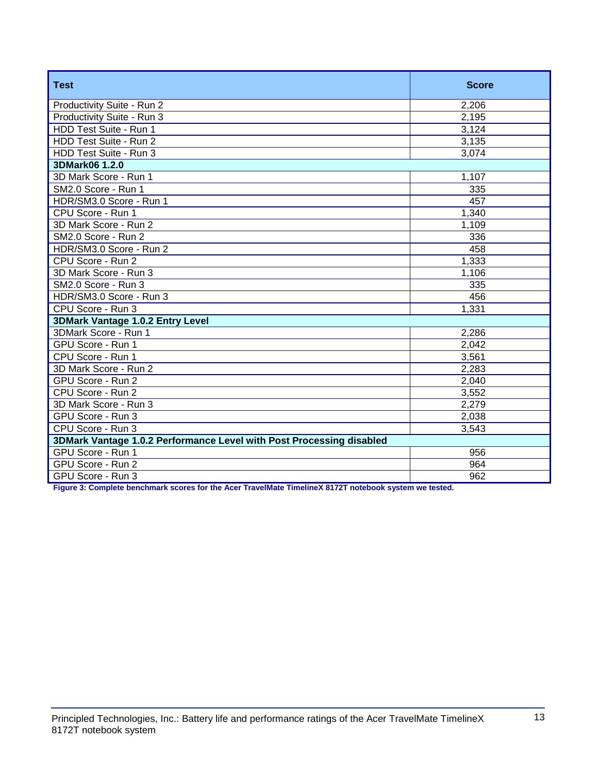| <b>Test</b>                                                          | <b>Score</b> |  |
|----------------------------------------------------------------------|--------------|--|
| Productivity Suite - Run 2                                           | 2,206        |  |
| Productivity Suite - Run 3                                           | 2,195        |  |
| HDD Test Suite - Run 1                                               | 3,124        |  |
| HDD Test Suite - Run 2                                               | 3,135        |  |
| HDD Test Suite - Run 3                                               | 3,074        |  |
| 3DMark06 1.2.0                                                       |              |  |
| 3D Mark Score - Run 1                                                | 1,107        |  |
| SM2.0 Score - Run 1                                                  | 335          |  |
| HDR/SM3.0 Score - Run 1                                              | 457          |  |
| CPU Score - Run 1                                                    | 1,340        |  |
| 3D Mark Score - Run 2                                                | 1,109        |  |
| SM2.0 Score - Run 2                                                  | 336          |  |
| HDR/SM3.0 Score - Run 2                                              | 458          |  |
| CPU Score - Run 2                                                    | 1,333        |  |
| 3D Mark Score - Run 3                                                | 1,106        |  |
| SM2.0 Score - Run 3                                                  | 335          |  |
| HDR/SM3.0 Score - Run 3                                              | 456          |  |
| CPU Score - Run 3                                                    | 1,331        |  |
| 3DMark Vantage 1.0.2 Entry Level                                     |              |  |
| 3DMark Score - Run 1                                                 | 2,286        |  |
| GPU Score - Run 1                                                    | 2,042        |  |
| CPU Score - Run 1                                                    | 3,561        |  |
| 3D Mark Score - Run 2                                                | 2,283        |  |
| GPU Score - Run 2                                                    | 2,040        |  |
| CPU Score - Run 2                                                    | 3,552        |  |
| 3D Mark Score - Run 3                                                | 2,279        |  |
| GPU Score - Run 3                                                    | 2,038        |  |
| CPU Score - Run 3                                                    | 3,543        |  |
| 3DMark Vantage 1.0.2 Performance Level with Post Processing disabled |              |  |
| GPU Score - Run 1                                                    | 956          |  |
| GPU Score - Run 2                                                    | 964          |  |
| GPU Score - Run 3                                                    | 962          |  |

**Figure 3: Complete benchmark scores for the Acer TravelMate TimelineX 8172T notebook system we tested.**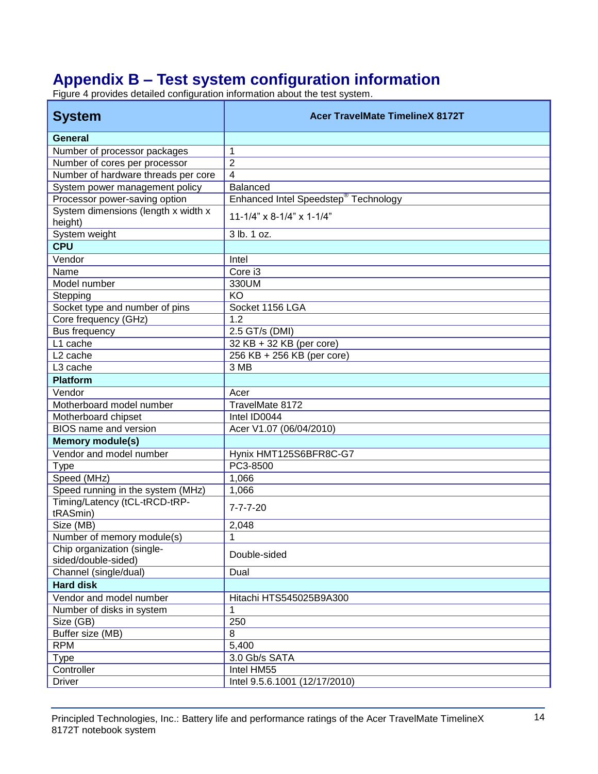# **Appendix B – Test system configuration information**

Figure 4 provides detailed configuration information about the test system.

| <b>System</b>                                     | <b>Acer TravelMate TimelineX 8172T</b>           |
|---------------------------------------------------|--------------------------------------------------|
| <b>General</b>                                    |                                                  |
| Number of processor packages                      | 1                                                |
| Number of cores per processor                     | $\overline{2}$                                   |
| Number of hardware threads per core               | 4                                                |
| System power management policy                    | Balanced                                         |
| Processor power-saving option                     | Enhanced Intel Speedstep <sup>®</sup> Technology |
| System dimensions (length x width x<br>height)    | $11-1/4$ " x 8-1/4" x 1-1/4"                     |
| System weight                                     | 3 lb. 1 oz.                                      |
| <b>CPU</b>                                        |                                                  |
| Vendor                                            | Intel                                            |
| Name                                              | Core i3                                          |
| Model number                                      | 330UM                                            |
| Stepping                                          | KO                                               |
| Socket type and number of pins                    | Socket 1156 LGA                                  |
| Core frequency (GHz)                              | 1.2                                              |
| Bus frequency                                     | 2.5 GT/s (DMI)                                   |
| L1 cache                                          | 32 KB + 32 KB (per core)                         |
| L <sub>2</sub> cache                              | 256 KB + 256 KB (per core)                       |
| L3 cache                                          | 3 MB                                             |
| <b>Platform</b>                                   |                                                  |
| Vendor                                            | Acer                                             |
| Motherboard model number                          | TravelMate 8172                                  |
| Motherboard chipset                               | Intel ID0044                                     |
| <b>BIOS</b> name and version                      | Acer V1.07 (06/04/2010)                          |
| <b>Memory module(s)</b>                           |                                                  |
| Vendor and model number                           | Hynix HMT125S6BFR8C-G7                           |
| <b>Type</b>                                       | PC3-8500                                         |
| Speed (MHz)                                       | 1,066                                            |
| Speed running in the system (MHz)                 | 1,066                                            |
| Timing/Latency (tCL-tRCD-tRP-<br>tRASmin)         | $7 - 7 - 7 - 20$                                 |
| Size (MB)                                         | 2,048                                            |
| Number of memory module(s)                        | 1                                                |
| Chip organization (single-<br>sided/double-sided) | Double-sided                                     |
| Channel (single/dual)                             | Dual                                             |
| <b>Hard disk</b>                                  |                                                  |
| Vendor and model number                           | Hitachi HTS545025B9A300                          |
| Number of disks in system                         |                                                  |
| Size (GB)                                         | 250                                              |
| Buffer size (MB)                                  | 8                                                |
| <b>RPM</b>                                        | 5,400                                            |
| <b>Type</b>                                       | 3.0 Gb/s SATA                                    |
| Controller                                        | Intel HM55                                       |
| <b>Driver</b>                                     | Intel 9.5.6.1001 (12/17/2010)                    |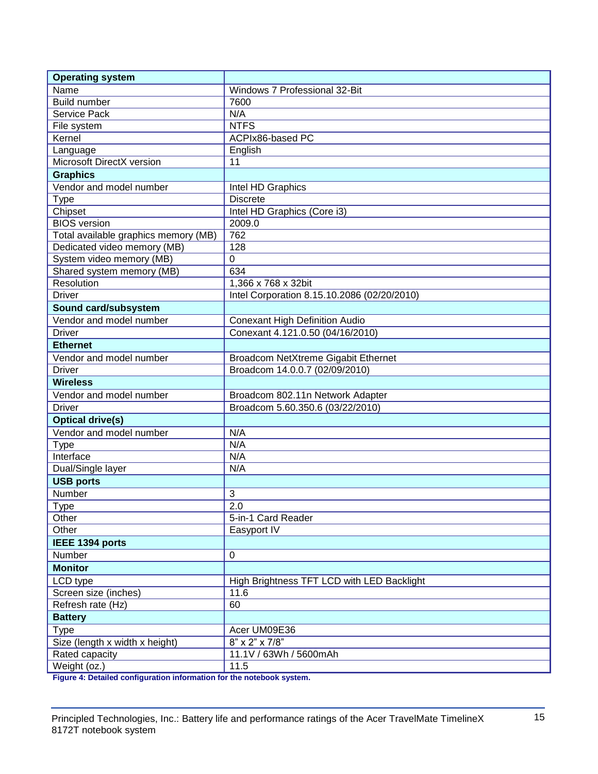| Name<br>Windows 7 Professional 32-Bit<br><b>Build number</b><br>7600<br>Service Pack<br>N/A<br><b>NTFS</b><br>File system<br>Kernel<br>ACPIx86-based PC<br>English<br>Language<br>Microsoft DirectX version<br>11<br><b>Graphics</b><br>Vendor and model number<br>Intel HD Graphics<br><b>Type</b><br><b>Discrete</b><br>Chipset<br>Intel HD Graphics (Core i3)<br>2009.0<br><b>BIOS</b> version<br>Total available graphics memory (MB)<br>762<br>Dedicated video memory (MB)<br>128<br>System video memory (MB)<br>0<br>Shared system memory (MB)<br>634<br>Resolution<br>1,366 x 768 x 32bit<br><b>Driver</b><br>Intel Corporation 8.15.10.2086 (02/20/2010)<br>Sound card/subsystem<br>Vendor and model number<br><b>Conexant High Definition Audio</b><br><b>Driver</b><br>Conexant 4.121.0.50 (04/16/2010)<br><b>Ethernet</b><br>Vendor and model number<br>Broadcom NetXtreme Gigabit Ethernet<br><b>Driver</b><br>Broadcom 14.0.0.7 (02/09/2010)<br><b>Wireless</b><br>Vendor and model number<br>Broadcom 802.11n Network Adapter<br><b>Driver</b><br>Broadcom 5.60.350.6 (03/22/2010)<br><b>Optical drive(s)</b><br>Vendor and model number<br>N/A<br>N/A<br><b>Type</b><br>N/A<br>Interface<br>Dual/Single layer<br>N/A<br><b>USB ports</b><br>Number<br>3<br>2.0<br><b>Type</b><br>Other<br>5-in-1 Card Reader<br>Other<br>Easyport IV<br>IEEE 1394 ports<br>Number<br>0<br><b>Monitor</b><br>LCD type<br>High Brightness TFT LCD with LED Backlight<br>11.6<br>Screen size (inches)<br>60<br>Refresh rate (Hz)<br><b>Battery</b><br><b>Type</b><br>Acer UM09E36<br>$8" \times 2" \times 7/8"$<br>Size (length x width x height)<br>Rated capacity<br>11.1V / 63Wh / 5600mAh<br>11.5 | <b>Operating system</b> |  |
|---------------------------------------------------------------------------------------------------------------------------------------------------------------------------------------------------------------------------------------------------------------------------------------------------------------------------------------------------------------------------------------------------------------------------------------------------------------------------------------------------------------------------------------------------------------------------------------------------------------------------------------------------------------------------------------------------------------------------------------------------------------------------------------------------------------------------------------------------------------------------------------------------------------------------------------------------------------------------------------------------------------------------------------------------------------------------------------------------------------------------------------------------------------------------------------------------------------------------------------------------------------------------------------------------------------------------------------------------------------------------------------------------------------------------------------------------------------------------------------------------------------------------------------------------------------------------------------------------------------------------------------------------------------------------------------------------|-------------------------|--|
|                                                                                                                                                                                                                                                                                                                                                                                                                                                                                                                                                                                                                                                                                                                                                                                                                                                                                                                                                                                                                                                                                                                                                                                                                                                                                                                                                                                                                                                                                                                                                                                                                                                                                                   |                         |  |
|                                                                                                                                                                                                                                                                                                                                                                                                                                                                                                                                                                                                                                                                                                                                                                                                                                                                                                                                                                                                                                                                                                                                                                                                                                                                                                                                                                                                                                                                                                                                                                                                                                                                                                   |                         |  |
|                                                                                                                                                                                                                                                                                                                                                                                                                                                                                                                                                                                                                                                                                                                                                                                                                                                                                                                                                                                                                                                                                                                                                                                                                                                                                                                                                                                                                                                                                                                                                                                                                                                                                                   |                         |  |
|                                                                                                                                                                                                                                                                                                                                                                                                                                                                                                                                                                                                                                                                                                                                                                                                                                                                                                                                                                                                                                                                                                                                                                                                                                                                                                                                                                                                                                                                                                                                                                                                                                                                                                   |                         |  |
|                                                                                                                                                                                                                                                                                                                                                                                                                                                                                                                                                                                                                                                                                                                                                                                                                                                                                                                                                                                                                                                                                                                                                                                                                                                                                                                                                                                                                                                                                                                                                                                                                                                                                                   |                         |  |
|                                                                                                                                                                                                                                                                                                                                                                                                                                                                                                                                                                                                                                                                                                                                                                                                                                                                                                                                                                                                                                                                                                                                                                                                                                                                                                                                                                                                                                                                                                                                                                                                                                                                                                   |                         |  |
|                                                                                                                                                                                                                                                                                                                                                                                                                                                                                                                                                                                                                                                                                                                                                                                                                                                                                                                                                                                                                                                                                                                                                                                                                                                                                                                                                                                                                                                                                                                                                                                                                                                                                                   |                         |  |
|                                                                                                                                                                                                                                                                                                                                                                                                                                                                                                                                                                                                                                                                                                                                                                                                                                                                                                                                                                                                                                                                                                                                                                                                                                                                                                                                                                                                                                                                                                                                                                                                                                                                                                   |                         |  |
|                                                                                                                                                                                                                                                                                                                                                                                                                                                                                                                                                                                                                                                                                                                                                                                                                                                                                                                                                                                                                                                                                                                                                                                                                                                                                                                                                                                                                                                                                                                                                                                                                                                                                                   |                         |  |
|                                                                                                                                                                                                                                                                                                                                                                                                                                                                                                                                                                                                                                                                                                                                                                                                                                                                                                                                                                                                                                                                                                                                                                                                                                                                                                                                                                                                                                                                                                                                                                                                                                                                                                   |                         |  |
|                                                                                                                                                                                                                                                                                                                                                                                                                                                                                                                                                                                                                                                                                                                                                                                                                                                                                                                                                                                                                                                                                                                                                                                                                                                                                                                                                                                                                                                                                                                                                                                                                                                                                                   |                         |  |
|                                                                                                                                                                                                                                                                                                                                                                                                                                                                                                                                                                                                                                                                                                                                                                                                                                                                                                                                                                                                                                                                                                                                                                                                                                                                                                                                                                                                                                                                                                                                                                                                                                                                                                   |                         |  |
|                                                                                                                                                                                                                                                                                                                                                                                                                                                                                                                                                                                                                                                                                                                                                                                                                                                                                                                                                                                                                                                                                                                                                                                                                                                                                                                                                                                                                                                                                                                                                                                                                                                                                                   |                         |  |
|                                                                                                                                                                                                                                                                                                                                                                                                                                                                                                                                                                                                                                                                                                                                                                                                                                                                                                                                                                                                                                                                                                                                                                                                                                                                                                                                                                                                                                                                                                                                                                                                                                                                                                   |                         |  |
|                                                                                                                                                                                                                                                                                                                                                                                                                                                                                                                                                                                                                                                                                                                                                                                                                                                                                                                                                                                                                                                                                                                                                                                                                                                                                                                                                                                                                                                                                                                                                                                                                                                                                                   |                         |  |
|                                                                                                                                                                                                                                                                                                                                                                                                                                                                                                                                                                                                                                                                                                                                                                                                                                                                                                                                                                                                                                                                                                                                                                                                                                                                                                                                                                                                                                                                                                                                                                                                                                                                                                   |                         |  |
|                                                                                                                                                                                                                                                                                                                                                                                                                                                                                                                                                                                                                                                                                                                                                                                                                                                                                                                                                                                                                                                                                                                                                                                                                                                                                                                                                                                                                                                                                                                                                                                                                                                                                                   |                         |  |
|                                                                                                                                                                                                                                                                                                                                                                                                                                                                                                                                                                                                                                                                                                                                                                                                                                                                                                                                                                                                                                                                                                                                                                                                                                                                                                                                                                                                                                                                                                                                                                                                                                                                                                   |                         |  |
|                                                                                                                                                                                                                                                                                                                                                                                                                                                                                                                                                                                                                                                                                                                                                                                                                                                                                                                                                                                                                                                                                                                                                                                                                                                                                                                                                                                                                                                                                                                                                                                                                                                                                                   |                         |  |
|                                                                                                                                                                                                                                                                                                                                                                                                                                                                                                                                                                                                                                                                                                                                                                                                                                                                                                                                                                                                                                                                                                                                                                                                                                                                                                                                                                                                                                                                                                                                                                                                                                                                                                   |                         |  |
|                                                                                                                                                                                                                                                                                                                                                                                                                                                                                                                                                                                                                                                                                                                                                                                                                                                                                                                                                                                                                                                                                                                                                                                                                                                                                                                                                                                                                                                                                                                                                                                                                                                                                                   |                         |  |
|                                                                                                                                                                                                                                                                                                                                                                                                                                                                                                                                                                                                                                                                                                                                                                                                                                                                                                                                                                                                                                                                                                                                                                                                                                                                                                                                                                                                                                                                                                                                                                                                                                                                                                   |                         |  |
|                                                                                                                                                                                                                                                                                                                                                                                                                                                                                                                                                                                                                                                                                                                                                                                                                                                                                                                                                                                                                                                                                                                                                                                                                                                                                                                                                                                                                                                                                                                                                                                                                                                                                                   |                         |  |
|                                                                                                                                                                                                                                                                                                                                                                                                                                                                                                                                                                                                                                                                                                                                                                                                                                                                                                                                                                                                                                                                                                                                                                                                                                                                                                                                                                                                                                                                                                                                                                                                                                                                                                   |                         |  |
|                                                                                                                                                                                                                                                                                                                                                                                                                                                                                                                                                                                                                                                                                                                                                                                                                                                                                                                                                                                                                                                                                                                                                                                                                                                                                                                                                                                                                                                                                                                                                                                                                                                                                                   |                         |  |
|                                                                                                                                                                                                                                                                                                                                                                                                                                                                                                                                                                                                                                                                                                                                                                                                                                                                                                                                                                                                                                                                                                                                                                                                                                                                                                                                                                                                                                                                                                                                                                                                                                                                                                   |                         |  |
|                                                                                                                                                                                                                                                                                                                                                                                                                                                                                                                                                                                                                                                                                                                                                                                                                                                                                                                                                                                                                                                                                                                                                                                                                                                                                                                                                                                                                                                                                                                                                                                                                                                                                                   |                         |  |
|                                                                                                                                                                                                                                                                                                                                                                                                                                                                                                                                                                                                                                                                                                                                                                                                                                                                                                                                                                                                                                                                                                                                                                                                                                                                                                                                                                                                                                                                                                                                                                                                                                                                                                   |                         |  |
|                                                                                                                                                                                                                                                                                                                                                                                                                                                                                                                                                                                                                                                                                                                                                                                                                                                                                                                                                                                                                                                                                                                                                                                                                                                                                                                                                                                                                                                                                                                                                                                                                                                                                                   |                         |  |
|                                                                                                                                                                                                                                                                                                                                                                                                                                                                                                                                                                                                                                                                                                                                                                                                                                                                                                                                                                                                                                                                                                                                                                                                                                                                                                                                                                                                                                                                                                                                                                                                                                                                                                   |                         |  |
|                                                                                                                                                                                                                                                                                                                                                                                                                                                                                                                                                                                                                                                                                                                                                                                                                                                                                                                                                                                                                                                                                                                                                                                                                                                                                                                                                                                                                                                                                                                                                                                                                                                                                                   |                         |  |
|                                                                                                                                                                                                                                                                                                                                                                                                                                                                                                                                                                                                                                                                                                                                                                                                                                                                                                                                                                                                                                                                                                                                                                                                                                                                                                                                                                                                                                                                                                                                                                                                                                                                                                   |                         |  |
|                                                                                                                                                                                                                                                                                                                                                                                                                                                                                                                                                                                                                                                                                                                                                                                                                                                                                                                                                                                                                                                                                                                                                                                                                                                                                                                                                                                                                                                                                                                                                                                                                                                                                                   |                         |  |
|                                                                                                                                                                                                                                                                                                                                                                                                                                                                                                                                                                                                                                                                                                                                                                                                                                                                                                                                                                                                                                                                                                                                                                                                                                                                                                                                                                                                                                                                                                                                                                                                                                                                                                   |                         |  |
|                                                                                                                                                                                                                                                                                                                                                                                                                                                                                                                                                                                                                                                                                                                                                                                                                                                                                                                                                                                                                                                                                                                                                                                                                                                                                                                                                                                                                                                                                                                                                                                                                                                                                                   |                         |  |
|                                                                                                                                                                                                                                                                                                                                                                                                                                                                                                                                                                                                                                                                                                                                                                                                                                                                                                                                                                                                                                                                                                                                                                                                                                                                                                                                                                                                                                                                                                                                                                                                                                                                                                   |                         |  |
|                                                                                                                                                                                                                                                                                                                                                                                                                                                                                                                                                                                                                                                                                                                                                                                                                                                                                                                                                                                                                                                                                                                                                                                                                                                                                                                                                                                                                                                                                                                                                                                                                                                                                                   |                         |  |
|                                                                                                                                                                                                                                                                                                                                                                                                                                                                                                                                                                                                                                                                                                                                                                                                                                                                                                                                                                                                                                                                                                                                                                                                                                                                                                                                                                                                                                                                                                                                                                                                                                                                                                   |                         |  |
|                                                                                                                                                                                                                                                                                                                                                                                                                                                                                                                                                                                                                                                                                                                                                                                                                                                                                                                                                                                                                                                                                                                                                                                                                                                                                                                                                                                                                                                                                                                                                                                                                                                                                                   |                         |  |
|                                                                                                                                                                                                                                                                                                                                                                                                                                                                                                                                                                                                                                                                                                                                                                                                                                                                                                                                                                                                                                                                                                                                                                                                                                                                                                                                                                                                                                                                                                                                                                                                                                                                                                   |                         |  |
|                                                                                                                                                                                                                                                                                                                                                                                                                                                                                                                                                                                                                                                                                                                                                                                                                                                                                                                                                                                                                                                                                                                                                                                                                                                                                                                                                                                                                                                                                                                                                                                                                                                                                                   |                         |  |
|                                                                                                                                                                                                                                                                                                                                                                                                                                                                                                                                                                                                                                                                                                                                                                                                                                                                                                                                                                                                                                                                                                                                                                                                                                                                                                                                                                                                                                                                                                                                                                                                                                                                                                   |                         |  |
|                                                                                                                                                                                                                                                                                                                                                                                                                                                                                                                                                                                                                                                                                                                                                                                                                                                                                                                                                                                                                                                                                                                                                                                                                                                                                                                                                                                                                                                                                                                                                                                                                                                                                                   |                         |  |
|                                                                                                                                                                                                                                                                                                                                                                                                                                                                                                                                                                                                                                                                                                                                                                                                                                                                                                                                                                                                                                                                                                                                                                                                                                                                                                                                                                                                                                                                                                                                                                                                                                                                                                   |                         |  |
|                                                                                                                                                                                                                                                                                                                                                                                                                                                                                                                                                                                                                                                                                                                                                                                                                                                                                                                                                                                                                                                                                                                                                                                                                                                                                                                                                                                                                                                                                                                                                                                                                                                                                                   |                         |  |
|                                                                                                                                                                                                                                                                                                                                                                                                                                                                                                                                                                                                                                                                                                                                                                                                                                                                                                                                                                                                                                                                                                                                                                                                                                                                                                                                                                                                                                                                                                                                                                                                                                                                                                   |                         |  |
|                                                                                                                                                                                                                                                                                                                                                                                                                                                                                                                                                                                                                                                                                                                                                                                                                                                                                                                                                                                                                                                                                                                                                                                                                                                                                                                                                                                                                                                                                                                                                                                                                                                                                                   |                         |  |
|                                                                                                                                                                                                                                                                                                                                                                                                                                                                                                                                                                                                                                                                                                                                                                                                                                                                                                                                                                                                                                                                                                                                                                                                                                                                                                                                                                                                                                                                                                                                                                                                                                                                                                   | Weight (oz.)            |  |

**Figure 4: Detailed configuration information for the notebook system.**